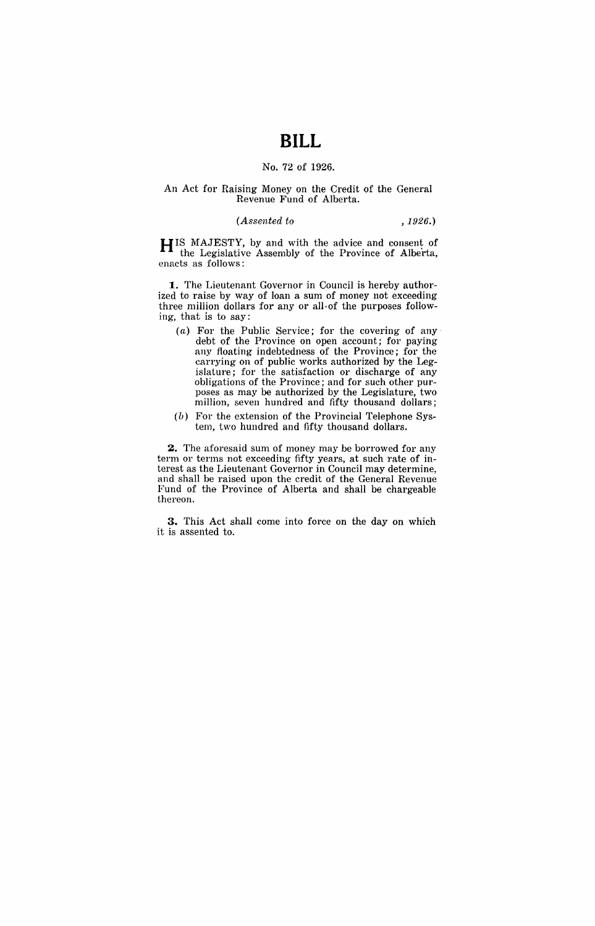# **BILL**

## No. 72 of 1926.

#### An Act for Raising Money on the Credit of the General Revenue Fund of Alberta.

## *(Assented to* ,1926.)

HIS MAJESTY, by and with the advice and consent of the Legislative Assembly of the Province of Alberta, enacts as follows:

**1.** The Lieutenant Governor in Council is hereby authorized to raise by way of loan a sum of money not exceeding three million dollars for any or all-of the purposes following, that is to say:

- $(a)$  For the Public Service; for the covering of any debt of the Province on open account; for paying any floating indebtedness of the Province; for the carrying on of public works authorized by the Legislature; for the satisfaction or discharge of any obligations of the Province; and for such other purposes as may be authorized by the Legislature, two million, seven hundred and fifty thousand dollars;
- $(b)$  For the extension of the Provincial Telephone System, two hundred and fifty thousand dollars.

**2.** The aforesaid sum of money may be borrowed for any term or terms not exceeding fifty years, at such rate of interest as the Lieutenant Governor in Council may determine, and shall be raised upon the credit of the General Revenue Fund of the Province of Alberta and shall be chargeable thereon.

**3.** This Act shall come into force on the day on which it is assented to.